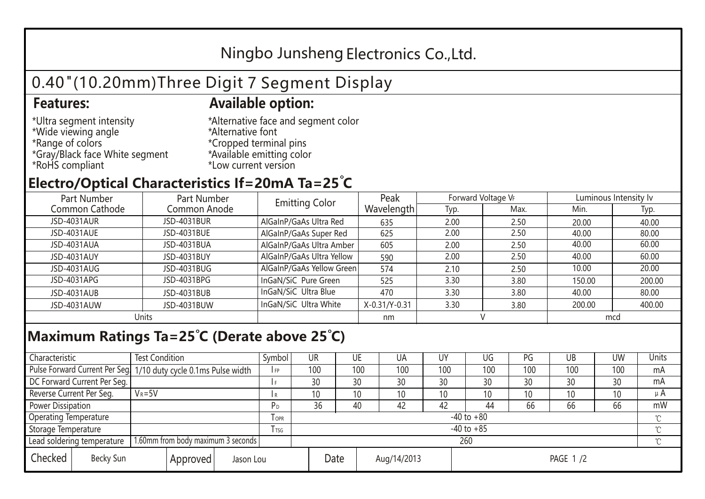## Ningbo Junsheng Electronics Co.,Ltd.

# 0.40"(10.20mm)Three Digit 7 Segment Display

#### **Features: Available option:**

- \*Ultra segment intensity \*Wide viewing angle \*Range of colors \*Gray/Black face White segment \*RoHS compliant
- \*Alternative face and segment color \*Alternative font \*Cropped terminal pins \*Available emitting color \*Low current version

### **Electro/Optical Characteristics If=20mA Ta=25 C**

| Part Number<br>Part Number |              | <b>Emitting Color</b>     | Peak          | Forward Voltage VF |      | Luminous Intensity Iv |        |  |
|----------------------------|--------------|---------------------------|---------------|--------------------|------|-----------------------|--------|--|
| Common Cathode             | Common Anode |                           | Wavelength    | Typ.               | Max. | Min.                  | Typ.   |  |
| JSD-4031AUR                | JSD-4031BUR  | AlGaInP/GaAs Ultra Red    | 635           | 2.00               | 2.50 | 20.00                 | 40.00  |  |
| JSD-4031AUE                | JSD-4031BUE  | AlGaInP/GaAs Super Red    | 625           | 2.00               | 2.50 | 40.00                 | 80.00  |  |
| JSD-4031AUA                | JSD-4031BUA  | AlGaInP/GaAs Ultra Amber  | 605           | 2.00               | 2.50 | 40.00                 | 60.00  |  |
| JSD-4031AUY                | JSD-4031BUY  | AlGaInP/GaAs Ultra Yellow | 590           | 2.00               | 2.50 | 40.00                 | 60.00  |  |
| JSD-4031AUG                | JSD-4031BUG  | AlGaInP/GaAs Yellow Green | 574           | 2.10               | 2.50 | 10.00                 | 20.00  |  |
| JSD-4031APG                | JSD-4031BPG  | InGaN/SiC Pure Green      | 525           | 3.30               | 3.80 | 150.00                | 200.00 |  |
| JSD-4031AUB                | JSD-4031BUB  | InGaN/SiC Ultra Blue      | 470           | 3.30               | 3.80 | 40.00                 | 80.00  |  |
| JSD-4031AUW                | JSD-4031BUW  | InGaN/SiC Ultra White     | X-0.31/Y-0.31 | 3.30               | 3.80 | 200.00                | 400.00 |  |
| Units                      |              |                           | nm            |                    |      | mcd                   |        |  |

#### **Maximum Ratings Ta=25°C (Derate above 25°C)**

| Characteristic                   |  | <b>Test Condition</b>                                            |         |                | Symbol         | UR  |             | UE  | UA       | UY  | UG              | PG  | UB           | <b>UW</b> | Units   |
|----------------------------------|--|------------------------------------------------------------------|---------|----------------|----------------|-----|-------------|-----|----------|-----|-----------------|-----|--------------|-----------|---------|
|                                  |  | Pulse Forward Current Per Seg. 1/10 duty cycle 0.1ms Pulse width |         |                | IFP            | 100 |             | 100 | 100      | 100 | 100             | 100 | 100          | 100       | mA      |
| DC Forward Current Per Seg.      |  |                                                                  |         |                | 30             |     | 30          | 30  | 30       | 30  | 30              | 30  | 30           | mA        |         |
| Reverse Current Per Seg.         |  | $V_R = 5V$                                                       |         |                | I R            | 10  |             | 10  | 10       | 10  | 10 <sup>°</sup> | 10  | 10           | 10        | $\mu$ A |
| <b>Power Dissipation</b>         |  |                                                                  |         |                | P <sub>D</sub> | 36  |             | 40  | 42       | 42  | 44              | 66  | 66           | 66        | mW      |
| <b>Operating Temperature</b>     |  |                                                                  | $I$ OPR | $-40$ to $+80$ |                |     |             |     |          |     |                 |     | $\gamma$     |           |         |
| Storage Temperature              |  |                                                                  | I TSG   | $-40$ to $+85$ |                |     |             |     |          |     |                 |     | $^{\circ}$ C |           |         |
| Lead soldering temperature       |  | 1.60mm from body maximum 3 seconds                               |         |                |                | 260 |             |     |          |     |                 |     |              |           |         |
| Checked<br>Becky Sun<br>Approved |  | Jason Lou                                                        |         | Date           |                |     | Aug/14/2013 |     | PAGE 1/2 |     |                 |     |              |           |         |